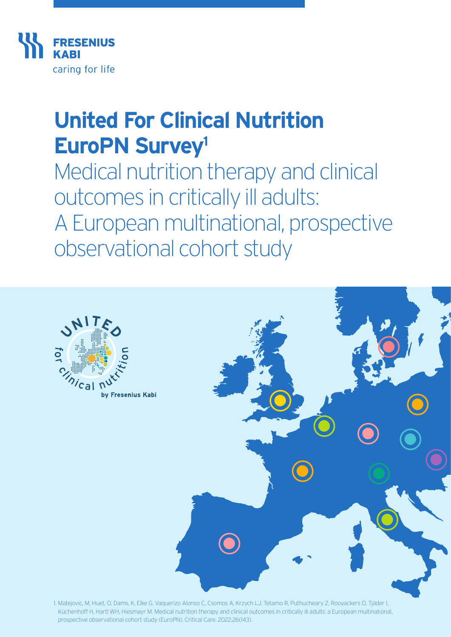

# **United For Clinical Nutrition EuroPN Survey1**

Medical nutrition therapy and clinical outcomes in critically ill adults: A European multinational, prospective observational cohort study



1. Matejovic, M, Huet, O, Dams, K, Elke G, Vaquerizo Alonso C, Csomos A, Krzych LJ, Tetamo R, Puthucheary Z, Rooyackers O, Tjäder I, Küchenhoff H, Hartl WH, Hiesmayr M. Medical nutrition therapy and clinical outcomes in critically ill adults: a European multinational, prospective observational cohort study (EuroPN). Critical Care. 2022;26(143).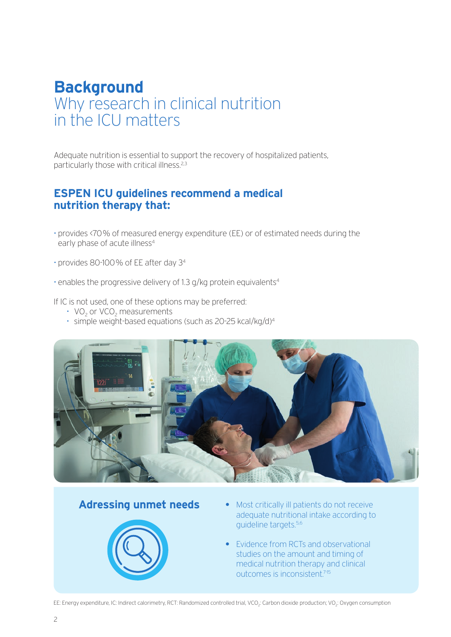# **Background**  Why research in clinical nutrition in the ICU matters

Adequate nutrition is essential to support the recovery of hospitalized patients, particularly those with critical illness.<sup>2,3</sup>

#### **ESPEN ICU guidelines recommend a medical nutrition therapy that:**

- provides <70% of measured energy expenditure (EE) or of estimated needs during the early phase of acute illness<sup>4</sup>
- provides 80-100% of EE after day 34
- enables the progressive delivery of 1.3 g/kg protein equivalents4

If IC is not used, one of these options may be preferred:

- VO<sub>2</sub> or VCO<sub>2</sub> measurements
- simple weight-based equations (such as 20-25 kcal/kg/d)4



#### **Adressing unmet needs**



- **•** Most critically ill patients do not receive adequate nutritional intake according to guideline targets.5,6
- **•** Evidence from RCTs and observational studies on the amount and timing of medical nutrition therapy and clinical outcomes is inconsistent.7-15

EE: Energy expenditure, IC: Indirect calorimetry, RCT: Randomized controlled trial, VCO<sub>2</sub>: Carbon dioxide production; VO<sub>2</sub>: Oxygen consumption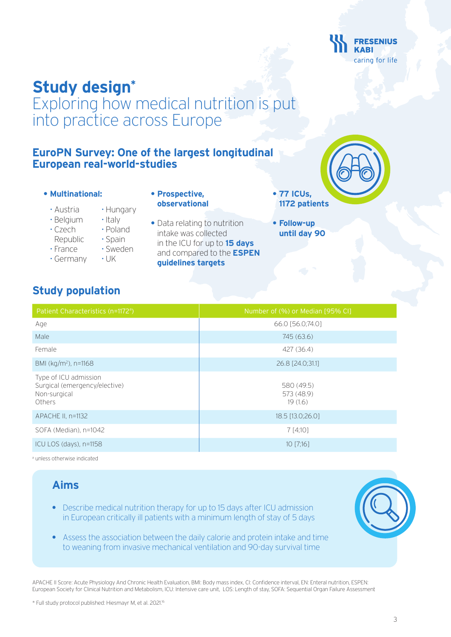

# **Study design\***

Exploring how medical nutrition is put into practice across Europe

> **• Prospective, observational**

#### **EuroPN Survey: One of the largest longitudinal European real-world-studies**

- **• Multinational:**
	- Austria Hungary
	- Belgium Italy
	- Czech Poland
	-
	- Republic · Spain
	- -
	- France Sweden
	- Germany UK
- 
- Data relating to nutrition intake was collected in the ICU for up to **15 days** and compared to the **ESPEN guidelines targets**
- **77 ICUs, 1172 patients**
- **Follow-up until day 90**

#### **Study population**

| Patient Characteristics (n=1172 <sup>a</sup> )                                          | Number of (%) or Median [95% CI]    |
|-----------------------------------------------------------------------------------------|-------------------------------------|
| Age                                                                                     | 66.0 [56.0;74.0]                    |
| Male                                                                                    | 745 (63.6)                          |
| Female                                                                                  | 427 (36.4)                          |
| BMI (kg/m <sup>2</sup> ), n=1168                                                        | 26.8 [24.0;31.1]                    |
| Type of ICU admission<br>Surgical (emergency/elective)<br>Non-surgical<br><b>Others</b> | 580 (49.5)<br>573 (48.9)<br>19(1.6) |
| APACHE II, n=1132                                                                       | 18.5 [13.0;26.0]                    |
| SOFA (Median), n=1042                                                                   | 7 [4;10]                            |
| ICU LOS (days), n=1158                                                                  | $10$ [7;16]                         |
|                                                                                         |                                     |

a unless otherwise indicated

### **Aims**

- **•** Describe medical nutrition therapy for up to 15 days after ICU admission in European critically ill patients with a minimum length of stay of 5 days
- **•** Assess the association between the daily calorie and protein intake and time to weaning from invasive mechanical ventilation and 90-day survival time

APACHE II Score: Acute Physiology And Chronic Health Evaluation, BMI: Body mass index, CI: Confidence interval, EN: Enteral nutrition, ESPEN: European Society for Clinical Nutrition and Metabolism, ICU: Intensive care unit, LOS: Length of stay, SOFA: Sequential Organ Failure Assessment

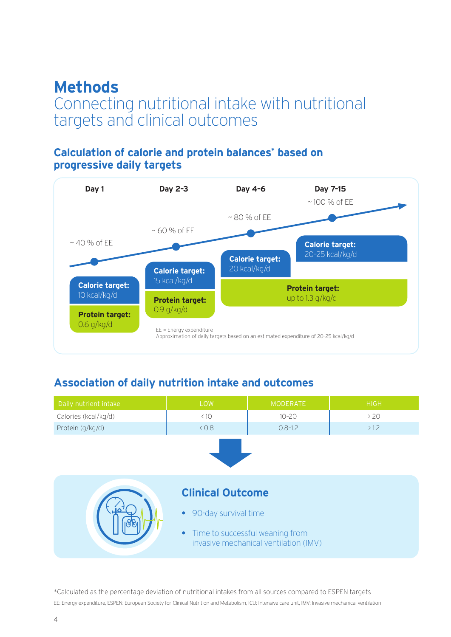# **Methods**

# Connecting nutritional intake with nutritional targets and clinical outcomes

#### **Calculation of calorie and protein balances\* based on progressive daily targets**



#### **Association of daily nutrition intake and outcomes**

| Daily nutrient intake | LOW                                                                        | <b>MODERATE</b> | <b>HIGH</b> |  |  |
|-----------------------|----------------------------------------------------------------------------|-----------------|-------------|--|--|
| Calories (kcal/kg/d)  | < 10                                                                       | $10 - 20$       | >20         |  |  |
| Protein (g/kg/d)      | 0.8                                                                        | $0.8 - 1.2$     | >1.2        |  |  |
|                       |                                                                            |                 |             |  |  |
|                       | <b>Clinical Outcome</b>                                                    |                 |             |  |  |
|                       | 90-day survival time<br>$\bullet$                                          |                 |             |  |  |
|                       | • Time to successful weaning from<br>invasive mechanical ventilation (IMV) |                 |             |  |  |

\*Calculated as the percentage deviation of nutritional intakes from all sources compared to ESPEN targets EE: Energy expenditure, ESPEN: European Society for Clinical Nutrition and Metabolism, ICU: Intensive care unit, IMV: Invasive mechanical ventilation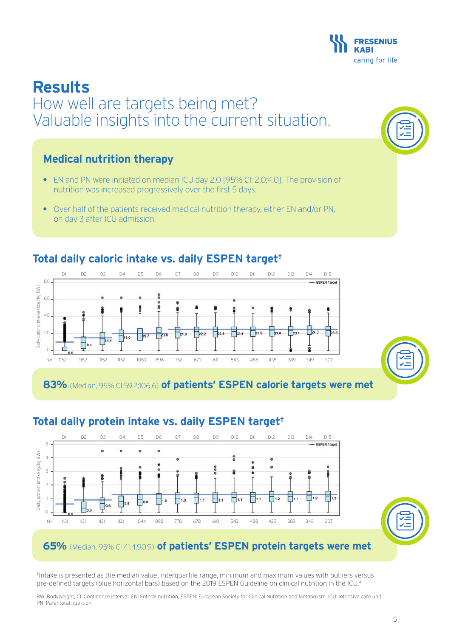## **Results** How well are targets being met? Valuable insights into the current situation.

#### **Medical nutrition therapy**

 $80$ 

60

 $40$ 

Daily caloric intake (kcal/kg BW)

Daily

caloric intake (kcal/kg BW)

 $20$ 

 $\cap$ 

- EN and PN were initiated on median ICU day 2.0 [95% CI: 2.0;4.0]. The provision of nutrition was increased progressively over the first 5 days.
- Over half of the patients received medical nutrition therapy, either EN and/or PN, on day 3 after ICU admission.

D1 D2 D3 D4 D5 D6 D7 D8 D9 D10 D11 D12 D13 D14 D15

# **Total daily caloric intake vs. daily ESPEN target†**

 $\mathbf{g}$ 

18.0

**83%** (Median, 95% CI 59.2;106.6) **of patients' ESPEN calorie targets were met**

 $F_{22,2}$ 

 $\n **2.5**\n$ 

N= 1152 1152 1152 1152 1059 896 752 679 611 543 488 435 389 349 307

 $721.9$ 



<sup>†</sup>Intake is presented as the median value, interquartile range, minimum and maximum values with outliers versus pre-defined targets (blue horizontal bars) based on the 2019 ESPEN Guideline on clinical nutrition in the ICU.<sup>4</sup>

BW: Bodyweight, CI: Confidence interval, EN: Enteral nutrition, ESPEN: European Society for Clinical Nutrition and Metabolism, ICU: Intensive care unit, PN: Parenteral nutrition









 $\frac{1}{24.3}$ 

2

 $\overline{\phantom{a}}$ <sub>230</sub>

 $23.2$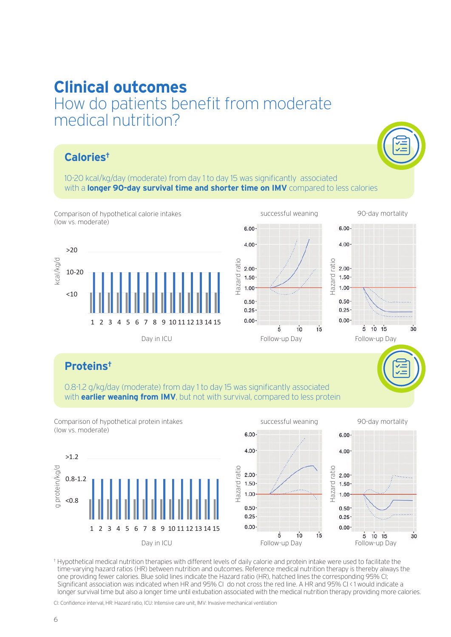#### **Clinical outcomes** How do patients benefit from moderate medical nutrition? COI II  $\frac{1}{2}$

### Calories<sup>+</sup>

10-20 kcal/kg/day (moderate) from day 1 to day 15 was significantly associated <10 with a **longer 90-day survival time and shorter time on IMV** compared to less calories







 $5 - 10 + 15$ 

 $30$ 

### **Proteins†**

0.8-1.2 g/kg/day (moderate) from day 1 to day 15 was significantly associated with **earlier weaning from IMV**, but not with survival, compared to less protein



† Hypothetical medical nutrition therapies with different levels of daily calorie and protein intake were used to facilitate the time-varying hazard ratios (HR) between nutrition and outcomes. Reference medical nutrition therapy is thereby always the one providing fewer calories. Blue solid lines indicate the Hazard ratio (HR), hatched lines the corresponding 95% CI; Significant association was indicated when HR and 95% CI do not cross the red line. A HR and 95% CI < 1 would indicate a longer survival time but also a longer time until extubation associated with the medical nutrition therapy providing more calories.

CI: Confidence interval, HR: Hazard ratio, ICU: Intensive care unit, IMV: Invasive mechanical ventilation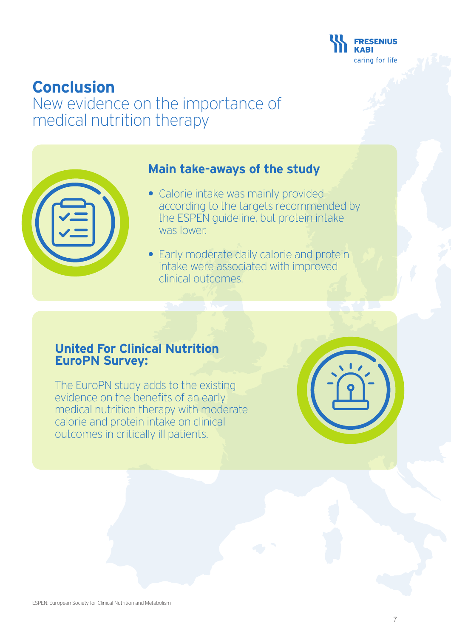

# **Conclusion**

# New evidence on the importance of medical nutrition therapy

| <b>Contract Contract Contract Contract Contract Contract Contract Contract Contract Contract Contract Contract Co</b> |  |
|-----------------------------------------------------------------------------------------------------------------------|--|
|                                                                                                                       |  |
|                                                                                                                       |  |

#### **Main take-aways of the study**

- Calorie intake was mainly provided according to the targets recommended by the ESPEN guideline, but protein intake was lower.
- Early moderate daily calorie and protein intake were associated with improved clinical outcomes.

#### **United For Clinical Nutrition EuroPN Survey:**

The EuroPN study adds to the existing evidence on the benefits of an early medical nutrition therapy with moderate calorie and protein intake on clinical outcomes in critically ill patients.